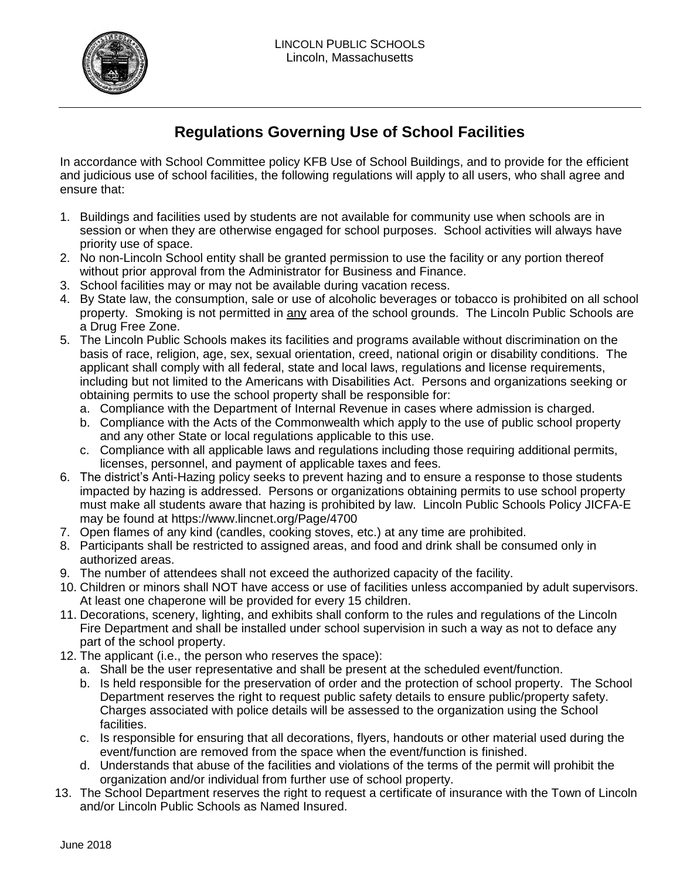

## **Regulations Governing Use of School Facilities**

In accordance with School Committee policy KFB Use of School Buildings, and to provide for the efficient and judicious use of school facilities, the following regulations will apply to all users, who shall agree and ensure that:

- 1. Buildings and facilities used by students are not available for community use when schools are in session or when they are otherwise engaged for school purposes. School activities will always have priority use of space.
- 2. No non-Lincoln School entity shall be granted permission to use the facility or any portion thereof without prior approval from the Administrator for Business and Finance.
- 3. School facilities may or may not be available during vacation recess.
- 4. By State law, the consumption, sale or use of alcoholic beverages or tobacco is prohibited on all school property. Smoking is not permitted in any area of the school grounds. The Lincoln Public Schools are a Drug Free Zone.
- 5. The Lincoln Public Schools makes its facilities and programs available without discrimination on the basis of race, religion, age, sex, sexual orientation, creed, national origin or disability conditions. The applicant shall comply with all federal, state and local laws, regulations and license requirements, including but not limited to the Americans with Disabilities Act. Persons and organizations seeking or obtaining permits to use the school property shall be responsible for:
	- a. Compliance with the Department of Internal Revenue in cases where admission is charged.
	- b. Compliance with the Acts of the Commonwealth which apply to the use of public school property and any other State or local regulations applicable to this use.
	- c. Compliance with all applicable laws and regulations including those requiring additional permits, licenses, personnel, and payment of applicable taxes and fees.
- 6. The district's Anti-Hazing policy seeks to prevent hazing and to ensure a response to those students impacted by hazing is addressed. Persons or organizations obtaining permits to use school property must make all students aware that hazing is prohibited by law. Lincoln Public Schools Policy JICFA-E may be found at https://www.lincnet.org/Page/4700
- 7. Open flames of any kind (candles, cooking stoves, etc.) at any time are prohibited.
- 8. Participants shall be restricted to assigned areas, and food and drink shall be consumed only in authorized areas.
- 9. The number of attendees shall not exceed the authorized capacity of the facility.
- 10. Children or minors shall NOT have access or use of facilities unless accompanied by adult supervisors. At least one chaperone will be provided for every 15 children.
- 11. Decorations, scenery, lighting, and exhibits shall conform to the rules and regulations of the Lincoln Fire Department and shall be installed under school supervision in such a way as not to deface any part of the school property.
- 12. The applicant (i.e., the person who reserves the space):
	- a. Shall be the user representative and shall be present at the scheduled event/function.
	- b. Is held responsible for the preservation of order and the protection of school property. The School Department reserves the right to request public safety details to ensure public/property safety. Charges associated with police details will be assessed to the organization using the School facilities.
	- c. Is responsible for ensuring that all decorations, flyers, handouts or other material used during the event/function are removed from the space when the event/function is finished.
	- d. Understands that abuse of the facilities and violations of the terms of the permit will prohibit the organization and/or individual from further use of school property.
- 13. The School Department reserves the right to request a certificate of insurance with the Town of Lincoln and/or Lincoln Public Schools as Named Insured.